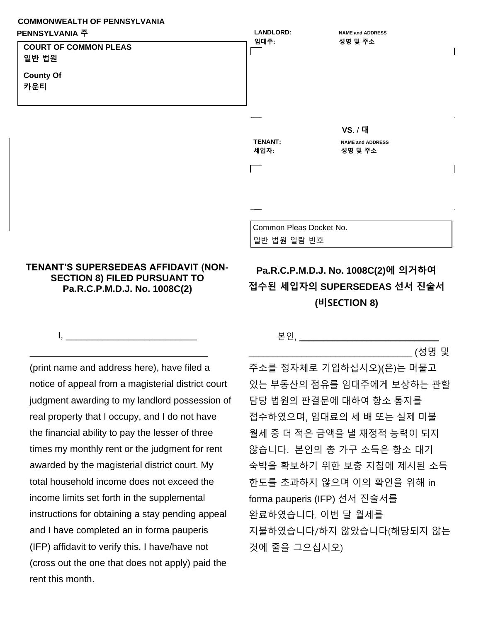## **COMMONWEALTH OF PENNSYLVANIA PENNSYLVANIA 주**



## **TENANT'S SUPERSEDEAS AFFIDAVIT (NON-SECTION 8) FILED PURSUANT TO Pa.R.C.P.M.D.J. No. 1008C(2)**

 $I, \underline{\hspace{1cm}}$ 

\_\_\_\_\_\_\_\_\_\_\_\_\_\_\_\_\_\_\_\_\_\_\_\_\_\_\_\_\_\_\_\_\_\_

## **Pa.R.C.P.M.D.J. No. 1008C(2)에 의거하여 접수된 세입자의 SUPERSEDEAS 선서 진술서 (비SECTION 8)**

(print name and address here), have filed a notice of appeal from a magisterial district court judgment awarding to my landlord possession of real property that I occupy, and I do not have the financial ability to pay the lesser of three times my monthly rent or the judgment for rent awarded by the magisterial district court. My total household income does not exceed the income limits set forth in the supplemental instructions for obtaining a stay pending appeal and I have completed an in forma pauperis (IFP) affidavit to verify this. I have/have not (cross out the one that does not apply) paid the rent this month.

## 본인, \_\_\_\_\_\_\_\_\_\_\_\_\_\_\_\_\_\_\_\_\_\_\_\_\_\_\_\_\_

\_\_\_\_\_\_\_\_\_\_\_\_\_\_\_\_\_\_\_\_\_\_\_\_\_\_\_\_\_\_\_\_\_\_ (성명 및

주소를 정자체로 기입하십시오)(은)는 머물고 있는 부동산의 점유를 임대주에게 보상하는 관할 담당 법원의 판결문에 대하여 항소 통지를 접수하였으며, 임대료의 세 배 또는 실제 미불 월세 중 더 적은 금액을 낼 재정적 능력이 되지 않습니다. 본인의 총 가구 소득은 항소 대기 숙박을 확보하기 위한 보충 지침에 제시된 소득 한도를 초과하지 않으며 이의 확인을 위해 in forma pauperis (IFP) 선서 진술서를 완료하였습니다. 이번 달 월세를 지불하였습니다/하지 않았습니다(해당되지 않는 것에 줄을 그으십시오)